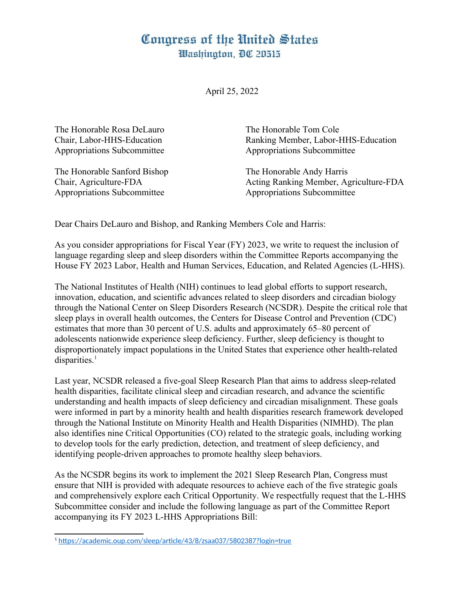## Congress of the United States Washington, DC 20515

April 25, 2022

The Honorable Rosa DeLauro The Honorable Tom Cole Appropriations Subcommittee Appropriations Subcommittee

The Honorable Sanford Bishop The Honorable Andy Harris Appropriations Subcommittee Appropriations Subcommittee

Chair, Labor-HHS-Education Ranking Member, Labor-HHS-Education

Chair, Agriculture-FDA Acting Ranking Member, Agriculture-FDA

Dear Chairs DeLauro and Bishop, and Ranking Members Cole and Harris:

As you consider appropriations for Fiscal Year (FY) 2023, we write to request the inclusion of language regarding sleep and sleep disorders within the Committee Reports accompanying the House FY 2023 Labor, Health and Human Services, Education, and Related Agencies (L-HHS).

The National Institutes of Health (NIH) continues to lead global efforts to support research, innovation, education, and scientific advances related to sleep disorders and circadian biology through the National Center on Sleep Disorders Research (NCSDR). Despite the critical role that sleep plays in overall health outcomes, the Centers for Disease Control and Prevention (CDC) estimates that more than 30 percent of U.S. adults and approximately 65–80 percent of adolescents nationwide experience sleep deficiency. Further, sleep deficiency is thought to disproportionately impact populations in the United States that experience other health-related disparities.<sup>[1](#page-0-1)</sup>

<span id="page-0-0"></span>Last year, NCSDR released a five-goal Sleep Research Plan that aims to address sleep-related health disparities, facilitate clinical sleep and circadian research, and advance the scientific understanding and health impacts of sleep deficiency and circadian misalignment. These goals were informed in part by a minority health and health disparities research framework developed through the National Institute on Minority Health and Health Disparities (NIMHD). The plan also identifies nine Critical Opportunities (CO) related to the strategic goals, including working to develop tools for the early prediction, detection, and treatment of sleep deficiency, and identifying people-driven approaches to promote healthy sleep behaviors.

As the NCSDR begins its work to implement the 2021 Sleep Research Plan, Congress must ensure that NIH is provided with adequate resources to achieve each of the five strategic goals and comprehensively explore each Critical Opportunity. We respectfully request that the L-HHS Subcommittee consider and include the following language as part of the Committee Report accompanying its FY 2023 L-HHS Appropriations Bill:

<span id="page-0-1"></span>[<sup>1</sup>](#page-0-0) <https://academic.oup.com/sleep/article/43/8/zsaa037/5802387?login=true>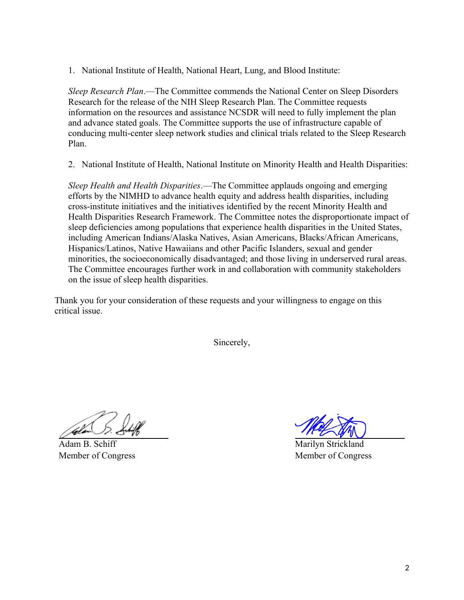1. National Institute of Health, National Heart, Lung, and Blood Institute:

*Sleep Research Plan*.—The Committee commends the National Center on Sleep Disorders Research for the release of the NIH Sleep Research Plan. The Committee requests information on the resources and assistance NCSDR will need to fully implement the plan and advance stated goals. The Committee supports the use of infrastructure capable of conducing multi-center sleep network studies and clinical trials related to the Sleep Research Plan.

2. National Institute of Health, National Institute on Minority Health and Health Disparities:

*Sleep Health and Health Disparities*.—The Committee applauds ongoing and emerging efforts by the NIMHD to advance health equity and address health disparities, including cross-institute initiatives and the initiatives identified by the recent Minority Health and Health Disparities Research Framework. The Committee notes the disproportionate impact of sleep deficiencies among populations that experience health disparities in the United States, including American Indians/Alaska Natives, Asian Americans, Blacks/African Americans, Hispanics/Latinos, Native Hawaiians and other Pacific Islanders, sexual and gender minorities, the socioeconomically disadvantaged; and those living in underserved rural areas. The Committee encourages further work in and collaboration with community stakeholders on the issue of sleep health disparities.

Thank you for your consideration of these requests and your willingness to engage on this critical issue.

Sincerely,

Adam B. Schiff Member of Congress

Marilyn Strickland Member of Congress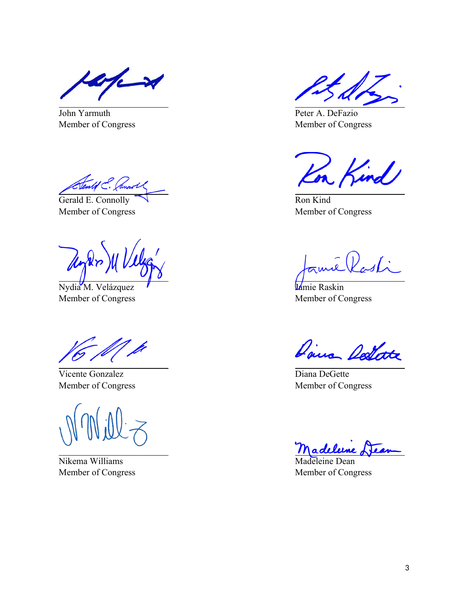John Yarmuth Member of Congress

ald E. Jannoll

Gerald E. Connolly Member of Congress

Nydia M. Velázquez Member of Congress

Vicente Gonzalez Member of Congress

Nikema Williams Member of Congress

Peter A. DeFazio Member of Congress

a Kind

Ron Kind Member of Congress

<u>i Rasti</u>

Jamie Raskin Member of Congress

Dairs Dellate

Diana DeGette Member of Congress

leleine

Madeleine Dean Member of Congress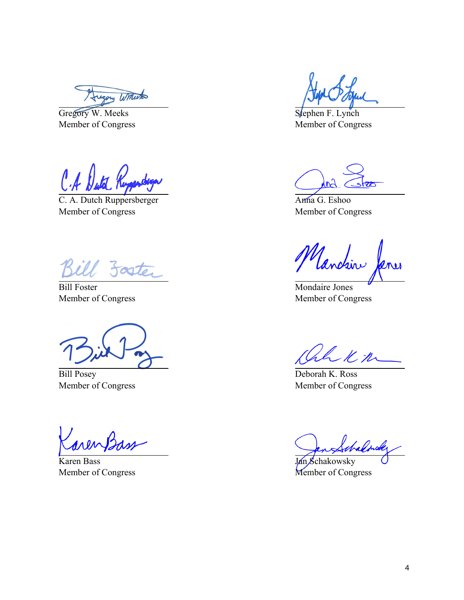Augory Witherton

Gregory W. Meeks Member of Congress

C. A. Dutch Ruppersberger Member of Congress

Soster

Bill Foster Member of Congress

Bill Posey Member of Congress

Karen Bass Member of Congress

Stephen F. Lynch Member of Congress

Anna G. Eshoo Member of Congress

Vanchin

Mondaire Jones Member of Congress

ah Km

Deborah K. Ross Member of Congress

Jan Schakowsky Member of Congress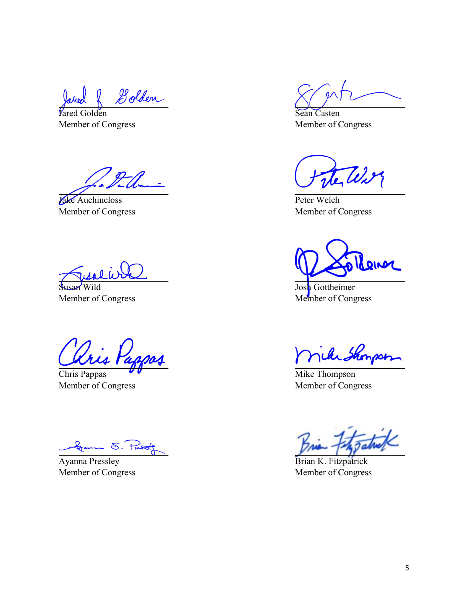Golden

*Fared* Golden Member of Congress

Jake Auchincloss Member of Congress

Susan Wild Member of Congress

ris Pa

Chris Pappas Member of Congress

General S. Puss

Ayanna Pressley Member of Congress

Sean Casten Member of Congress

Peter Welch Member of Congress

Rener

Josh Gottheimer Member of Congress

icke Shonpso

Mike Thompson Member of Congress

Brian K. Fitzpatrick Member of Congress